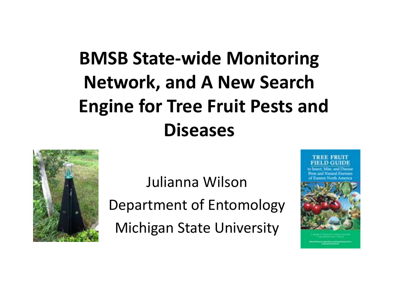# **BMSB State-wide Monitoring Network, and A New Search Engine for Tree Fruit Pests and Diseases**



Julianna WilsonDepartment of EntomologyMichigan State University

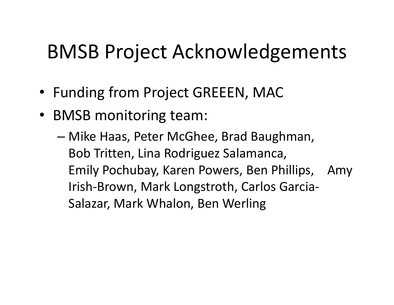## BMSB Project Acknowledgements

- Funding from Project GREEEN, MAC
- BMSB monitoring team:
	- Mike Haas, Peter McGhee, Brad Baughman, Bob Tritten, Lina Rodriguez Salamanca, Emily Pochubay, Karen Powers, Ben Phillips, Amy Irish-Brown, Mark Longstroth, Carlos Garcia-Salazar, Mark Whalon, Ben Werling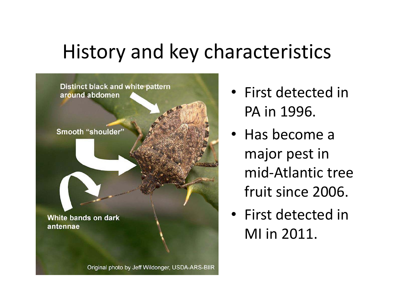## History and key characteristics



- First detected in PA in 1996.
- Has become a major pest in mid-Atlantic tree fruit since 2006.
- First detected in MI in 2011.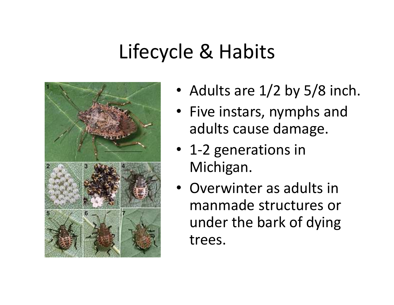## Lifecycle & Habits



- Adults are 1/2 by 5/8 inch.
- Five instars, nymphs and adults cause damage.
- 1-2 generations in Michigan.
- • Overwinter as adults in manmade structures or under the bark of dying trees.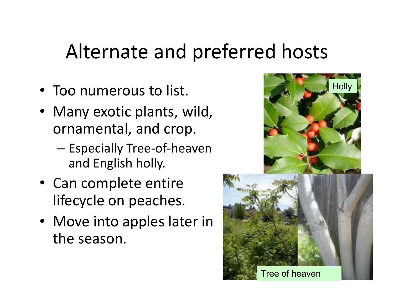# Alternate and preferred hosts

- Too numerous to list.
- Many exotic plants, wild, ornamental, and crop.
	- Especially Tree-of-heaven and English holly.
- Can complete entire lifecycle on peaches.
- Move into apples later in the season.

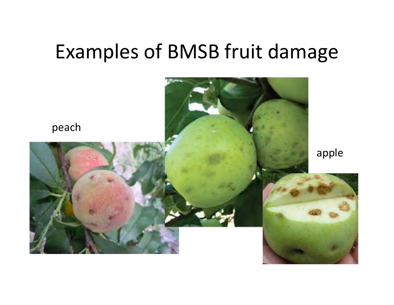## Examples of BMSB fruit damage

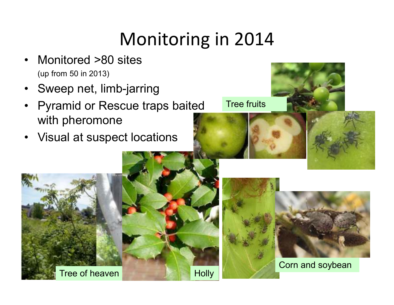## Monitoring in 2014

Tree fruits

**Holly** 

- • Monitored >80 sites (up from 50 in 2013)
- •Sweep net, limb-jarring
- • Pyramid or Rescue traps baited with pheromone
- Visual at suspect locations

Tree of heaven





Corn and soybean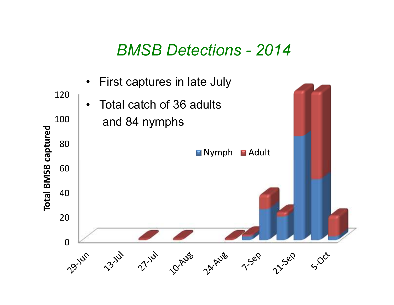### *BMSB Detections - <sup>2014</sup>*

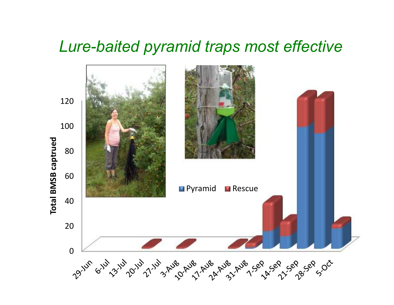### *Lure-baited pyramid traps most effective*

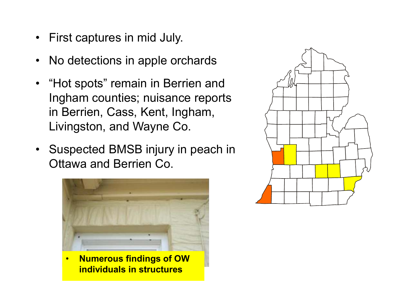- First captures in mid July.
- No detections in apple orchards
- "Hot spots" remain in Berrien and<br>Leakers counties: muissasse reports Ingham counties; nuisance reports in Berrien, Cass, Kent, Ingham, Livingston, and Wayne Co.
- Suspected BMSB injury in peach in Ottawa and Berrien Co.



• **Numerous findings of OW individuals in structures**

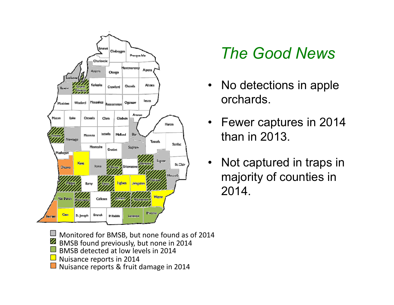

## *The Good News*

- $\bullet$  No detections in apple orchards.
- • Fewer captures in 2014 than in 2013.
- • Not captured in traps in majority of counties in 2014.

Monitored for BMSB, but none found as of 2014

- ${\bf Z}$ BMSB found previously, but none in 2014
- BMSB detected at low levels in 2014
- Nuisance reports in 2014
- Nuisance reports & fruit damage in 2014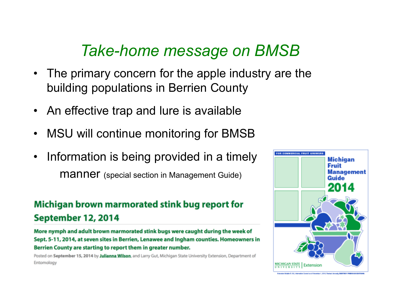## *Take-home message on BMSB*

- The primary concern for the apple industry are the variations in Parties County. building populations in Berrien County
- $\bullet$ An effective trap and lure is available
- $\bullet$ MSU will continue monitoring for BMSB
- $\bullet$  Information is being provided in a timely manner (special section in Management Guide)

### Michigan brown marmorated stink bug report for September 12, 2014

More nymph and adult brown marmorated stink bugs were caught during the week of Sept. 5-11, 2014, at seven sites in Berrien, Lenawee and Ingham counties. Homeowners in Berrien County are starting to report them in greater number.

Posted on September 15, 2014 by Julianna Wilson, and Larry Gut, Michigan State University Extension, Department of Entomology

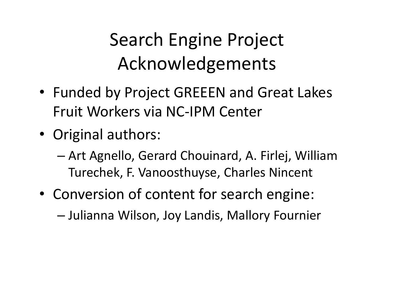## Search Engine Project Acknowledgements

- Funded by Project GREEEN and Great Lakes Fruit Workers via NC-IPM Center
- Original authors:
	- Art Agnello, Gerard Chouinard, A. Firlej, William Turechek, F. Vanoosthuyse, Charles Nincent
- Conversion of content for search engine:
	- Julianna Wilson, Joy Landis, Mallory Fournier